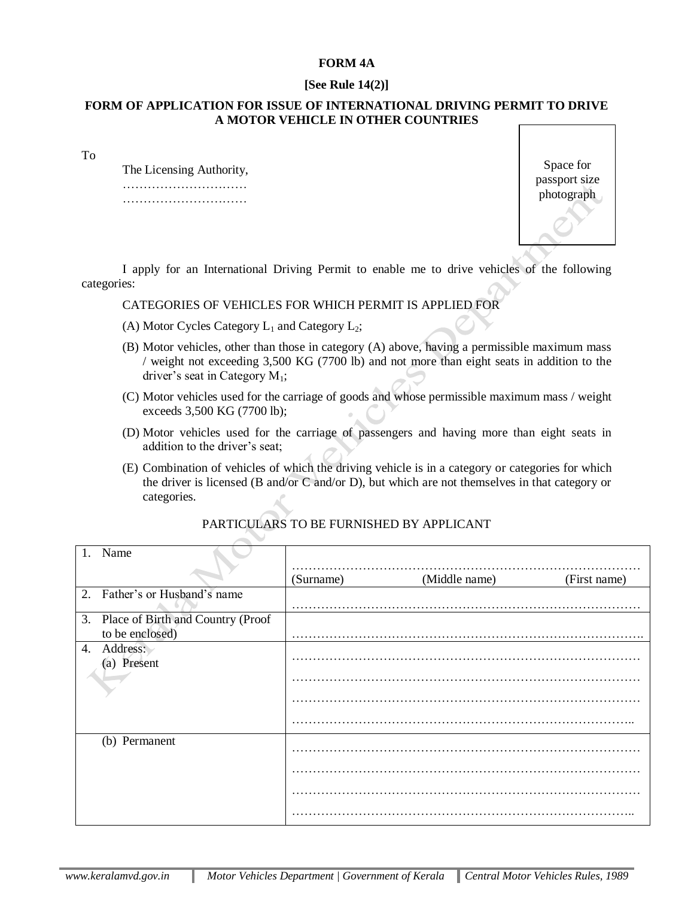## **FORM 4A**

## **[See Rule 14(2)]**

### **FORM OF APPLICATION FOR ISSUE OF INTERNATIONAL DRIVING PERMIT TO DRIVE A MOTOR VEHICLE IN OTHER COUNTRIES**

To

The Licensing Authority, …………………………………… …………………………

Space for passport size photograph

I apply for an International Driving Permit to enable me to drive vehicles of the following categories:

# CATEGORIES OF VEHICLES FOR WHICH PERMIT IS APPLIED FOR

- (A) Motor Cycles Category  $L_1$  and Category  $L_2$ ;
- (B) Motor vehicles, other than those in category (A) above, having a permissible maximum mass / weight not exceeding 3,500 KG (7700 lb) and not more than eight seats in addition to the driver's seat in Category  $M_1$ ;
- (C) Motor vehicles used for the carriage of goods and whose permissible maximum mass / weight exceeds 3,500 KG (7700 lb);
- (D) Motor vehicles used for the carriage of passengers and having more than eight seats in addition to the driver's seat;
- (E) Combination of vehicles of which the driving vehicle is in a category or categories for which the driver is licensed (B and/or C and/or D), but which are not themselves in that category or categories.

| Name                                 |           |               |              |
|--------------------------------------|-----------|---------------|--------------|
|                                      | (Surname) | (Middle name) | (First name) |
| 2. Father's or Husband's name        |           |               |              |
| 3. Place of Birth and Country (Proof |           |               |              |
| to be enclosed)                      |           |               |              |
| 4. Address:<br>(a) Present           |           |               |              |
|                                      |           |               |              |
|                                      |           |               |              |
|                                      |           |               |              |
| (b) Permanent                        |           |               |              |
|                                      |           |               |              |
|                                      |           |               |              |
|                                      |           |               |              |
|                                      |           |               |              |

# PARTICULARS TO BE FURNISHED BY APPLICANT